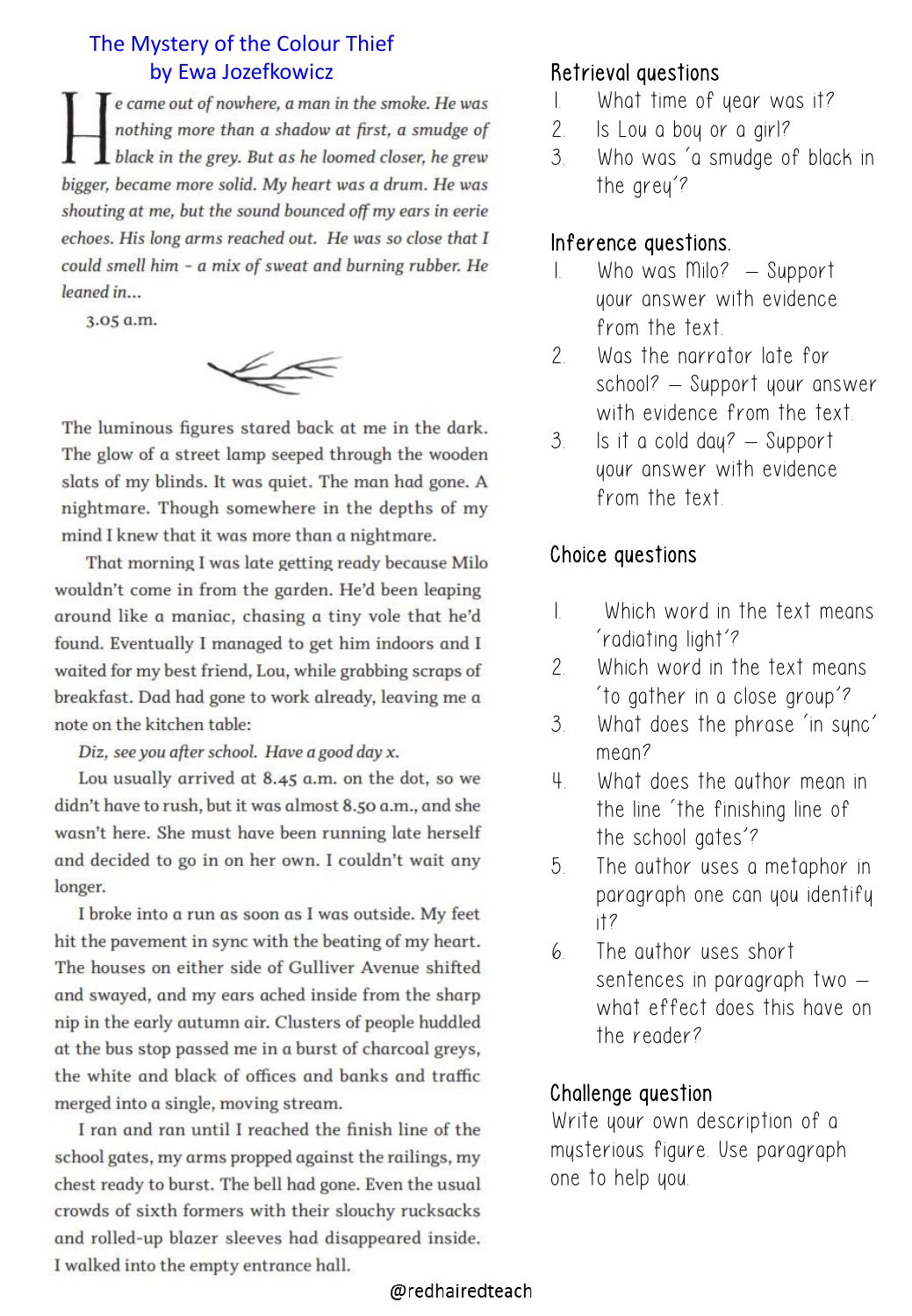# The Mystery of the Colour Thief by Ewa Jozefkowicz

e came out of nowhere, a man in the smoke. He was nothing more than a shadow at first, a smudge of  $\blacksquare$  black in the grey. But as he loomed closer, he grew bigger, became more solid. My heart was a drum. He was shouting at me, but the sound bounced off my ears in eerie echoes. His long arms reached out. He was so close that I could smell him - a mix of sweat and burning rubber. He leaned in...

3.05 a.m.



The luminous figures stared back at me in the dark. The glow of a street lamp seeped through the wooden slats of my blinds. It was quiet. The man had gone. A nightmare. Though somewhere in the depths of my mind I knew that it was more than a nightmare.

That morning I was late getting ready because Milo wouldn't come in from the garden. He'd been leaping around like a maniac, chasing a tiny vole that he'd found. Eventually I managed to get him indoors and I waited for my best friend, Lou, while grabbing scraps of breakfast. Dad had gone to work already, leaving me a note on the kitchen table:

Diz, see you after school. Have a good day x.

Lou usually arrived at 8.45 a.m. on the dot, so we didn't have to rush, but it was almost 8.50 a.m., and she wasn't here. She must have been running late herself and decided to go in on her own. I couldn't wait any longer.

I broke into a run as soon as I was outside. My feet hit the pavement in sync with the beating of my heart. The houses on either side of Gulliver Avenue shifted and swayed, and my ears ached inside from the sharp nip in the early autumn air. Clusters of people huddled at the bus stop passed me in a burst of charcoal greys, the white and black of offices and banks and traffic merged into a single, moving stream.

I ran and ran until I reached the finish line of the school gates, my arms propped against the railings, my chest ready to burst. The bell had gone. Even the usual crowds of sixth formers with their slouchy rucksacks and rolled-up blazer sleeves had disappeared inside. I walked into the empty entrance hall.

## Retrieval questions

- 1. What time of year was it?
- 2. Is Lou a boy or a girl?
- 3. Who was 'a smudge of black in the grey'?

### Inference questions.

- 1. Who was Milo? Support your answer with evidence from the text.
- 2. Was the narrator late for school? – Support your answer with evidence from the text.
- 3. Is it a cold day? Support your answer with evidence from the text.

## Choice questions

- 1. Which word in the text means 'radiating light'?
- 2. Which word in the text means 'to gather in a close group'?
- 3. What does the phrase 'in sync' mean?
- 4. What does the author mean in the line 'the finishing line of the school gates'?
- 5. The author uses a metaphor in paragraph one can you identify it?
- 6. The author uses short sentences in paragraph two – what effect does this have on the reader?

## Challenge question

Write your own description of a mysterious figure. Use paragraph one to help you.

#### @redhairedteach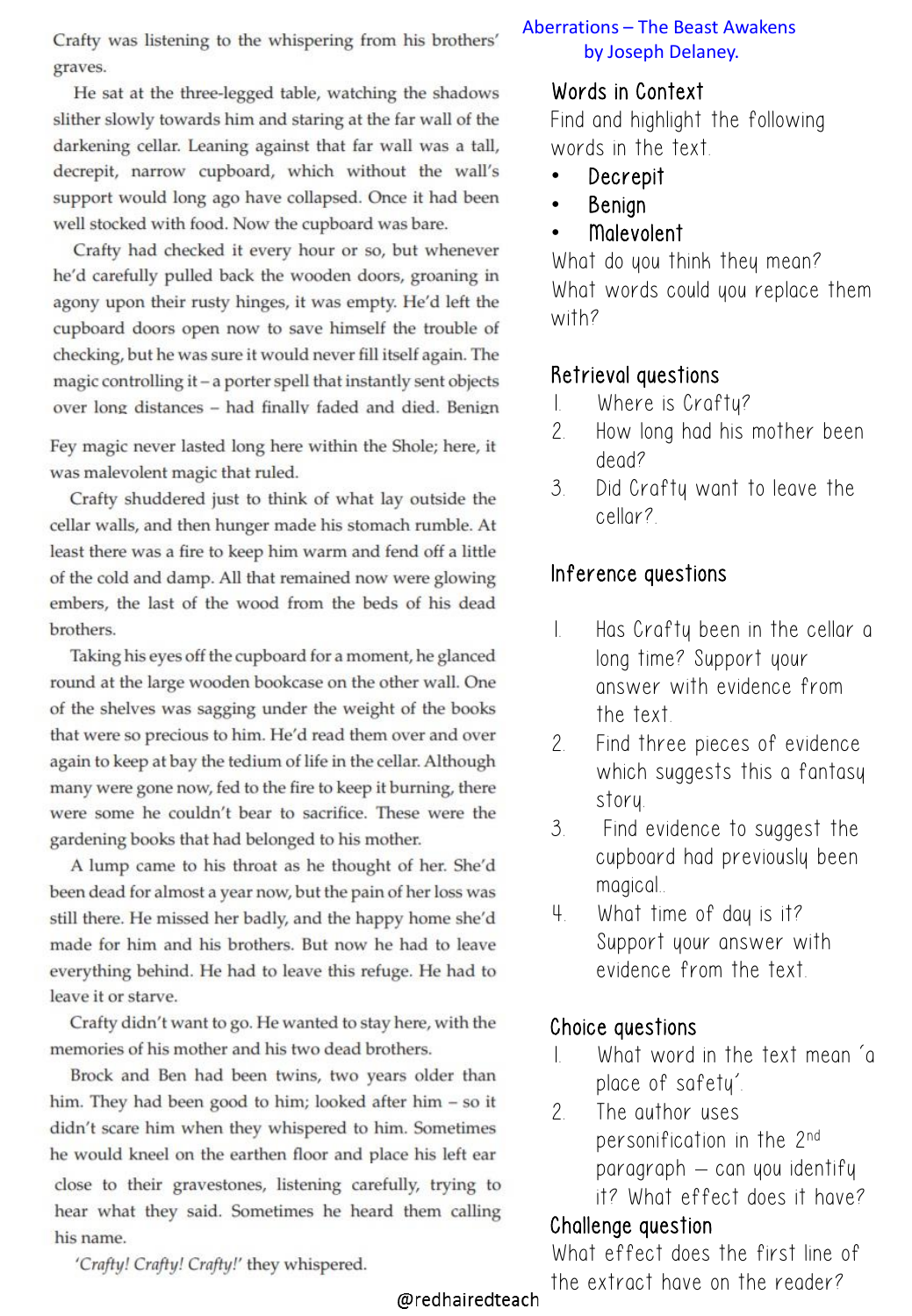Crafty was listening to the whispering from his brothers' graves.

He sat at the three-legged table, watching the shadows slither slowly towards him and staring at the far wall of the darkening cellar. Leaning against that far wall was a tall, decrepit, narrow cupboard, which without the wall's support would long ago have collapsed. Once it had been well stocked with food. Now the cupboard was bare.

Crafty had checked it every hour or so, but whenever he'd carefully pulled back the wooden doors, groaning in agony upon their rusty hinges, it was empty. He'd left the cupboard doors open now to save himself the trouble of checking, but he was sure it would never fill itself again. The magic controlling it - a porter spell that instantly sent objects over long distances - had finally faded and died. Benign

Fey magic never lasted long here within the Shole; here, it was malevolent magic that ruled.

Crafty shuddered just to think of what lay outside the cellar walls, and then hunger made his stomach rumble. At least there was a fire to keep him warm and fend off a little of the cold and damp. All that remained now were glowing embers, the last of the wood from the beds of his dead brothers.

Taking his eyes off the cupboard for a moment, he glanced round at the large wooden bookcase on the other wall. One of the shelves was sagging under the weight of the books that were so precious to him. He'd read them over and over again to keep at bay the tedium of life in the cellar. Although many were gone now, fed to the fire to keep it burning, there were some he couldn't bear to sacrifice. These were the gardening books that had belonged to his mother.

A lump came to his throat as he thought of her. She'd been dead for almost a year now, but the pain of her loss was still there. He missed her badly, and the happy home she'd made for him and his brothers. But now he had to leave everything behind. He had to leave this refuge. He had to leave it or starve.

Crafty didn't want to go. He wanted to stay here, with the memories of his mother and his two dead brothers.

Brock and Ben had been twins, two years older than him. They had been good to him; looked after him - so it didn't scare him when they whispered to him. Sometimes he would kneel on the earthen floor and place his left ear close to their gravestones, listening carefully, trying to hear what they said. Sometimes he heard them calling his name.

'Crafty! Crafty! Crafty!' they whispered.

#### Aberrations – The Beast Awakens by Joseph Delaney.

### Words in Context

Find and highlight the following words in the text.

- Decrepit
- Benign
- Malevolent

What do you think they mean? What words could you replace them with?

# Retrieval questions

- 1. Where is Crafty?
- 2. How long had his mother been dead?
- 3. Did Crafty want to leave the cellar?.

# Inference questions

- 1. Has Crafty been in the cellar a long time? Support your answer with evidence from the text.
- 2. Find three pieces of evidence which suggests this a fantasy story.
- 3. Find evidence to suggest the cupboard had previously been magical..
- 4. What time of day is it? Support your answer with evidence from the text.

# Choice questions

- 1. What word in the text mean 'a place of safety'.
- 2. The author uses personification in the 2nd paragraph – can you identify it? What effect does it have?

# Challenge question

What effect does the first line of the extract have on the reader?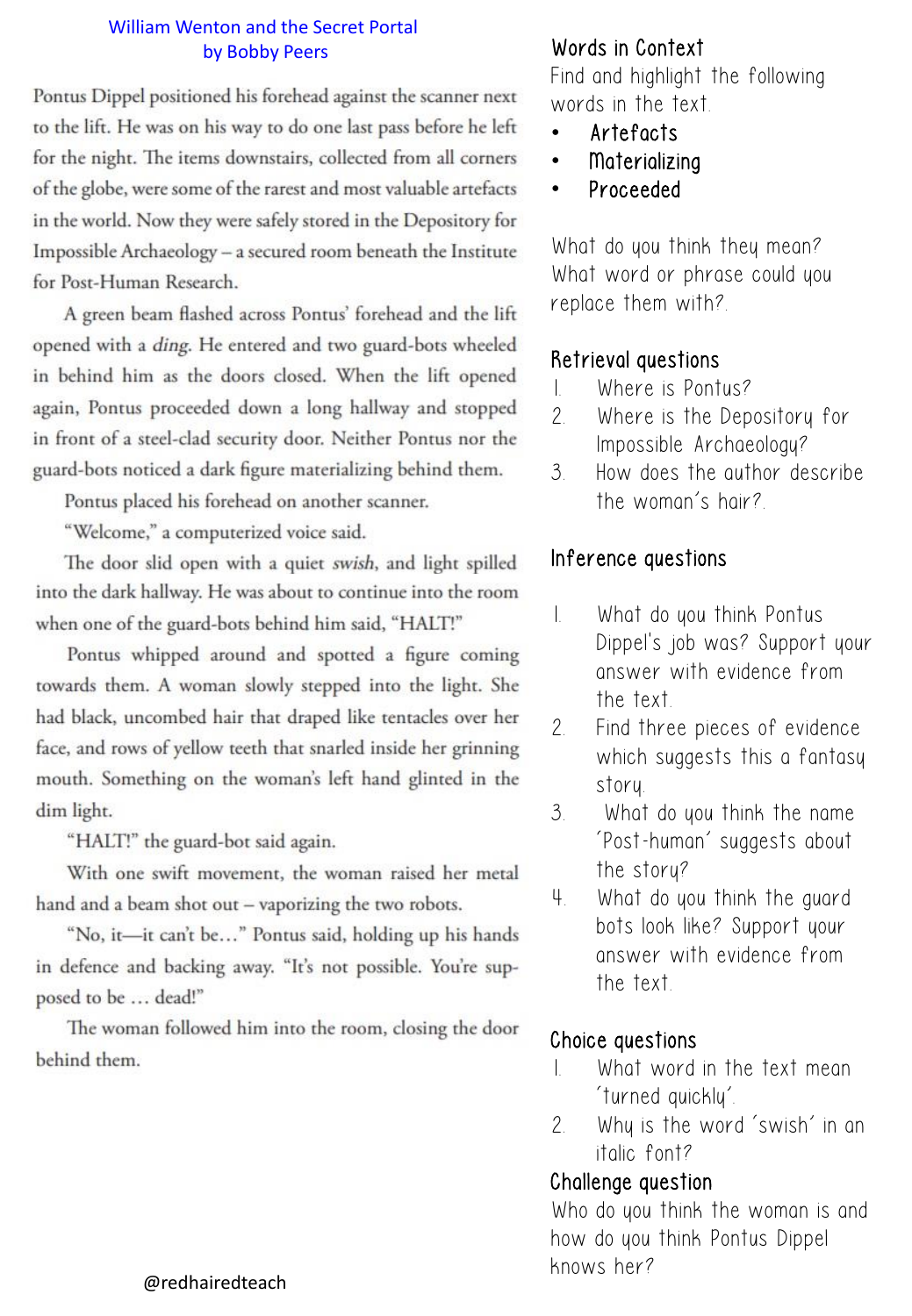#### William Wenton and the Secret Portal by Bobby Peers

Pontus Dippel positioned his forehead against the scanner next to the lift. He was on his way to do one last pass before he left for the night. The items downstairs, collected from all corners of the globe, were some of the rarest and most valuable artefacts in the world. Now they were safely stored in the Depository for Impossible Archaeology - a secured room beneath the Institute for Post-Human Research.

A green beam flashed across Pontus' forehead and the lift opened with a ding. He entered and two guard-bots wheeled in behind him as the doors closed. When the lift opened again, Pontus proceeded down a long hallway and stopped in front of a steel-clad security door. Neither Pontus nor the guard-bots noticed a dark figure materializing behind them.

Pontus placed his forehead on another scanner.

"Welcome," a computerized voice said.

The door slid open with a quiet swish, and light spilled into the dark hallway. He was about to continue into the room when one of the guard-bots behind him said, "HALT!"

Pontus whipped around and spotted a figure coming towards them. A woman slowly stepped into the light. She had black, uncombed hair that draped like tentacles over her face, and rows of yellow teeth that snarled inside her grinning mouth. Something on the woman's left hand glinted in the dim light.

"HALT!" the guard-bot said again.

With one swift movement, the woman raised her metal hand and a beam shot out - vaporizing the two robots.

"No, it—it can't be..." Pontus said, holding up his hands in defence and backing away. "It's not possible. You're supposed to be ... dead!"

The woman followed him into the room, closing the door behind them.

# Words in Context

Find and highlight the following words in the text.

- **Artefacts**
- Materializing
- Proceeded

What do you think they mean? What word or phrase could you replace them with?.

### Retrieval questions

- 1. Where is Pontus?
- 2. Where is the Depository for Impossible Archaeology?
- 3. How does the author describe the woman's hair?.

### Inference questions

- 1. What do you think Pontus Dippel's job was? Support your answer with evidence from the text.
- 2. Find three pieces of evidence which suggests this a fantasy story.
- 3. What do you think the name 'Post-human' suggests about the story?
- 4. What do you think the guard bots look like? Support your answer with evidence from the text.

### Choice questions

- 1. What word in the text mean 'turned quickly'.
- 2. Why is the word 'swish' in an italic font?

### Challenge question

Who do you think the woman is and how do you think Pontus Dippel knows her?